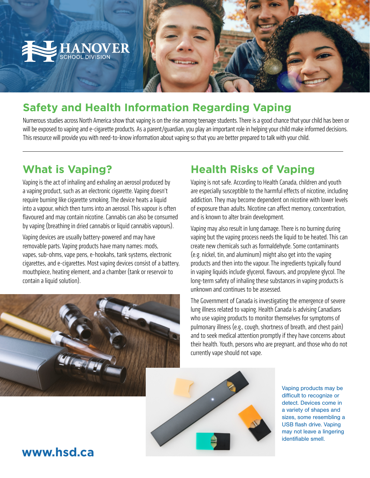

# **Safety and Health Information Regarding Vaping**

Numerous studies across North America show that vaping is on the rise among teenage students. There is a good chance that your child has been or will be exposed to vaping and e-cigarette products. As a parent/guardian, you play an important role in helping your child make informed decisions. This resource will provide you with need-to-know information about vaping so that you are better prepared to talk with your child.

### **What is Vaping?**

Vaping is the act of inhaling and exhaling an aerosol produced by a vaping product, such as an electronic cigarette. Vaping doesn't require burning like cigarette smoking. The device heats a liquid into a vapour, which then turns into an aerosol. This vapour is often flavoured and may contain nicotine. Cannabis can also be consumed by vaping (breathing in dried cannabis or liquid cannabis vapours).

Vaping devices are usually battery-powered and may have removable parts. Vaping products have many names: mods, vapes, sub-ohms, vape pens, e-hookahs, tank systems, electronic cigarettes, and e-cigarettes. Most vaping devices consist of a battery, mouthpiece, heating element, and a chamber (tank or reservoir to contain a liquid solution).



# **Health Risks of Vaping**

Vaping is not safe. According to Health Canada, children and youth are especially susceptible to the harmful effects of nicotine, including addiction. They may become dependent on nicotine with lower levels of exposure than adults. Nicotine can affect memory, concentration, and is known to alter brain development.

Vaping may also result in lung damage. There is no burning during vaping but the vaping process needs the liquid to be heated. This can create new chemicals such as formaldehyde. Some contaminants (e.g. nickel, tin, and aluminum) might also get into the vaping products and then into the vapour. The ingredients typically found in vaping liquids include glycerol, flavours, and propylene glycol. The long-term safety of inhaling these substances in vaping products is unknown and continues to be assessed.

The Government of Canada is investigating the emergence of severe lung illness related to vaping. Health Canada is advising Canadians who use vaping products to monitor themselves for symptoms of pulmonary illness (e.g., cough, shortness of breath, and chest pain) and to seek medical attention promptly if they have concerns about their health. Youth, persons who are pregnant, and those who do not currently vape should not vape.



Vaping products may be difficult to recognize or detect. Devices come in a variety of shapes and sizes, some resembling a USB flash drive. Vaping may not leave a lingering identifiable smell.

### **www.hsd.ca**